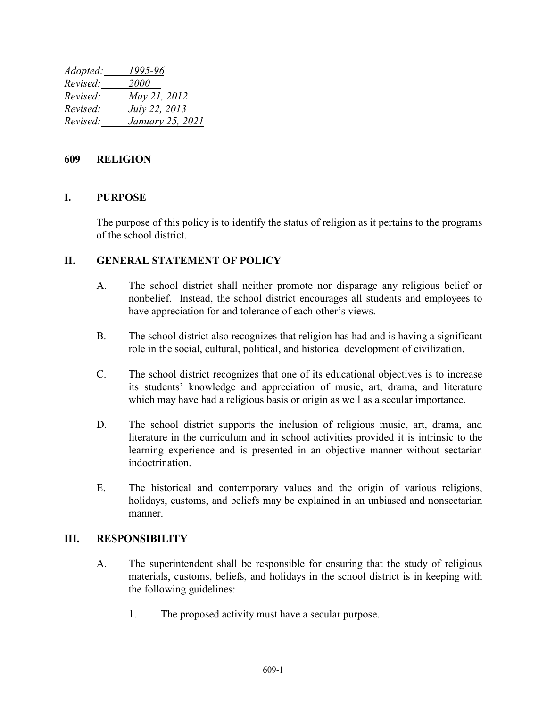*Adopted: 1995-96 Revised: 2000 Revised: May 21, 2012 Revised: July 22, 2013 Revised: January 25, 2021*

## **609 RELIGION**

## **I. PURPOSE**

The purpose of this policy is to identify the status of religion as it pertains to the programs of the school district.

## **II. GENERAL STATEMENT OF POLICY**

- A. The school district shall neither promote nor disparage any religious belief or nonbelief. Instead, the school district encourages all students and employees to have appreciation for and tolerance of each other's views.
- B. The school district also recognizes that religion has had and is having a significant role in the social, cultural, political, and historical development of civilization.
- C. The school district recognizes that one of its educational objectives is to increase its students' knowledge and appreciation of music, art, drama, and literature which may have had a religious basis or origin as well as a secular importance.
- D. The school district supports the inclusion of religious music, art, drama, and literature in the curriculum and in school activities provided it is intrinsic to the learning experience and is presented in an objective manner without sectarian indoctrination.
- E. The historical and contemporary values and the origin of various religions, holidays, customs, and beliefs may be explained in an unbiased and nonsectarian manner.

## **III. RESPONSIBILITY**

- A. The superintendent shall be responsible for ensuring that the study of religious materials, customs, beliefs, and holidays in the school district is in keeping with the following guidelines:
	- 1. The proposed activity must have a secular purpose.